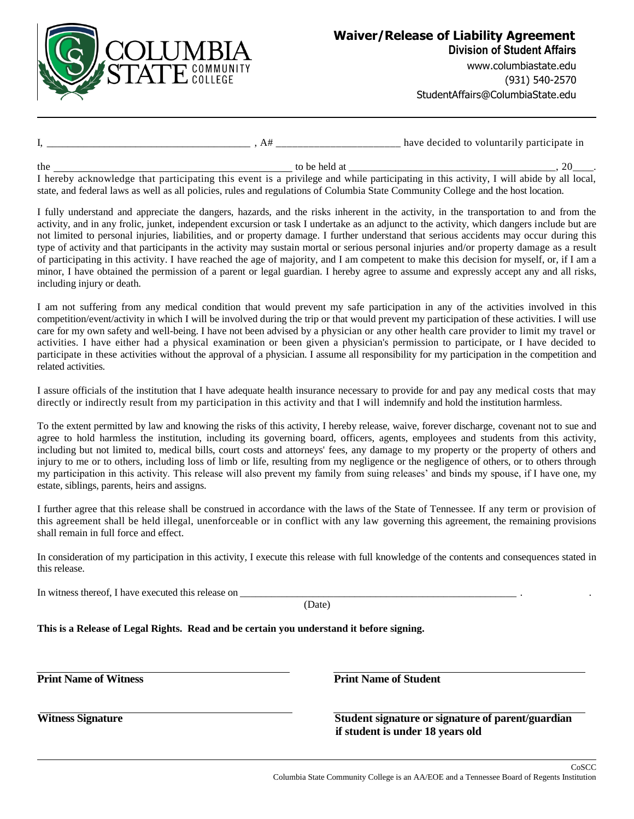

**Division of Student Affairs**

www.columbiastate.edu (931) 540-2570 StudentAffairs@ColumbiaState.edu

| have decided to voluntarily participate in<br>$\mathbf{1}$ |  |
|------------------------------------------------------------|--|
|------------------------------------------------------------|--|

to be held at  $10$  substitution of the total at  $120$ 

I hereby acknowledge that participating this event is a privilege and while participating in this activity, I will abide by all local, state, and federal laws as well as all policies, rules and regulations of Columbia State Community College and the host location.

I fully understand and appreciate the dangers, hazards, and the risks inherent in the activity, in the transportation to and from the activity, and in any frolic, junket, independent excursion or task I undertake as an adjunct to the activity, which dangers include but are not limited to personal injuries, liabilities, and or property damage. I further understand that serious accidents may occur during this type of activity and that participants in the activity may sustain mortal or serious personal injuries and/or property damage as a result of participating in this activity. I have reached the age of majority, and I am competent to make this decision for myself, or, if I am a minor, I have obtained the permission of a parent or legal guardian. I hereby agree to assume and expressly accept any and all risks, including injury or death.

I am not suffering from any medical condition that would prevent my safe participation in any of the activities involved in this competition/event/activity in which I will be involved during the trip or that would prevent my participation of these activities. I will use care for my own safety and well-being. I have not been advised by a physician or any other health care provider to limit my travel or activities. I have either had a physical examination or been given a physician's permission to participate, or I have decided to participate in these activities without the approval of a physician. I assume all responsibility for my participation in the competition and related activities.

I assure officials of the institution that I have adequate health insurance necessary to provide for and pay any medical costs that may directly or indirectly result from my participation in this activity and that I will indemnify and hold the institution harmless.

To the extent permitted by law and knowing the risks of this activity, I hereby release, waive, forever discharge, covenant not to sue and agree to hold harmless the institution, including its governing board, officers, agents, employees and students from this activity, including but not limited to, medical bills, court costs and attorneys' fees, any damage to my property or the property of others and injury to me or to others, including loss of limb or life, resulting from my negligence or the negligence of others, or to others through my participation in this activity. This release will also prevent my family from suing releases' and binds my spouse, if I have one, my estate, siblings, parents, heirs and assigns.

I further agree that this release shall be construed in accordance with the laws of the State of Tennessee. If any term or provision of this agreement shall be held illegal, unenforceable or in conflict with any law governing this agreement, the remaining provisions shall remain in full force and effect.

In consideration of my participation in this activity, I execute this release with full knowledge of the contents and consequences stated in this release.

In witness thereof, I have executed this release on

(Date)

**This is a Release of Legal Rights. Read and be certain you understand it before signing.**

**Print Name of Witness Print Name of Student**

**Witness Signature Student signature or signature of parent/guardian if student is under 18 years old**